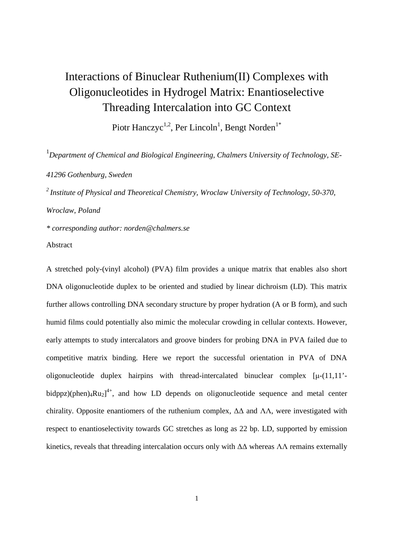# Interactions of Binuclear Ruthenium(II) Complexes with Oligonucleotides in Hydrogel Matrix: Enantioselective Threading Intercalation into GC Context

Piotr Hanczyc<sup>1,2</sup>, Per Lincoln<sup>1</sup>, Bengt Norden<sup>1\*</sup>

<sup>1</sup>Department of Chemical and Biological Engineering, Chalmers University of Technology, SE-*41296 Gothenburg, Sweden* 

*<sup>2</sup>Institute of Physical and Theoretical Chemistry, Wroclaw University of Technology, 50-370, Wroclaw, Poland* 

*\* corresponding author: norden@chalmers.se* 

Abstract

A stretched poly-(vinyl alcohol) (PVA) film provides a unique matrix that enables also short DNA oligonucleotide duplex to be oriented and studied by linear dichroism (LD). This matrix further allows controlling DNA secondary structure by proper hydration (A or B form), and such humid films could potentially also mimic the molecular crowding in cellular contexts. However, early attempts to study intercalators and groove binders for probing DNA in PVA failed due to competitive matrix binding. Here we report the successful orientation in PVA of DNA oligonucleotide duplex hairpins with thread-intercalated binuclear complex  $[\mu-(11,11)$ <sup>-</sup> bidppz)(phen)<sub>4</sub>Ru<sub>2</sub>]<sup>4+</sup>, and how LD depends on oligonucleotide sequence and metal center chirality. Opposite enantiomers of the ruthenium complex,  $\Delta\Delta$  and  $\Lambda\Lambda$ , were investigated with respect to enantioselectivity towards GC stretches as long as 22 bp. LD, supported by emission kinetics, reveals that threading intercalation occurs only with ∆∆ whereas ΛΛ remains externally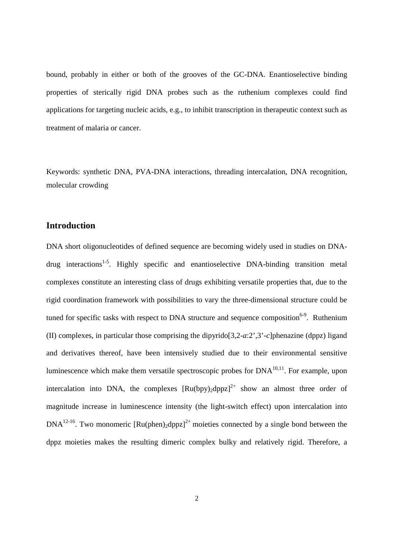bound, probably in either or both of the grooves of the GC-DNA. Enantioselective binding properties of sterically rigid DNA probes such as the ruthenium complexes could find applications for targeting nucleic acids, e.g., to inhibit transcription in therapeutic context such as treatment of malaria or cancer.

Keywords: synthetic DNA, PVA-DNA interactions, threading intercalation, DNA recognition, molecular crowding

# **Introduction**

DNA short oligonucleotides of defined sequence are becoming widely used in studies on DNA $drug$  interactions<sup>1-5</sup>. Highly specific and enantioselective DNA-binding transition metal complexes constitute an interesting class of drugs exhibiting versatile properties that, due to the rigid coordination framework with possibilities to vary the three-dimensional structure could be tuned for specific tasks with respect to DNA structure and sequence composition<sup>6-9</sup>. Ruthenium (II) complexes, in particular those comprising the dipyrido[3,2-*a*:2',3'-*c*]phenazine (dppz) ligand and derivatives thereof, have been intensively studied due to their environmental sensitive luminescence which make them versatile spectroscopic probes for  $DNA^{10,11}$ . For example, upon intercalation into DNA, the complexes  $\left[\text{Ru(bpy)}\text{dppz}\right]^{2+}$  show an almost three order of magnitude increase in luminescence intensity (the light-switch effect) upon intercalation into  $DNA^{12-16}$ . Two monomeric  $\left[\text{Ru(phen)}\right]^{2+}$  moieties connected by a single bond between the dppz moieties makes the resulting dimeric complex bulky and relatively rigid. Therefore, a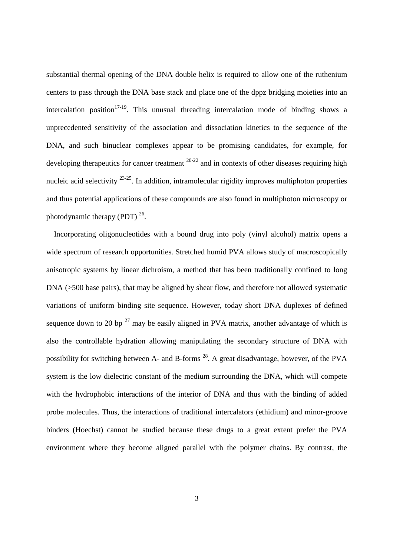substantial thermal opening of the DNA double helix is required to allow one of the ruthenium centers to pass through the DNA base stack and place one of the dppz bridging moieties into an intercalation position<sup>17-19</sup>. This unusual threading intercalation mode of binding shows a unprecedented sensitivity of the association and dissociation kinetics to the sequence of the DNA, and such binuclear complexes appear to be promising candidates, for example, for developing therapeutics for cancer treatment  $20-22$  and in contexts of other diseases requiring high nucleic acid selectivity  $23-25$ . In addition, intramolecular rigidity improves multiphoton properties and thus potential applications of these compounds are also found in multiphoton microscopy or photodynamic therapy (PDT)  $^{26}$ .

 Incorporating oligonucleotides with a bound drug into poly (vinyl alcohol) matrix opens a wide spectrum of research opportunities. Stretched humid PVA allows study of macroscopically anisotropic systems by linear dichroism, a method that has been traditionally confined to long DNA ( $>500$  base pairs), that may be aligned by shear flow, and therefore not allowed systematic variations of uniform binding site sequence. However, today short DNA duplexes of defined sequence down to 20 bp  $^{27}$  may be easily aligned in PVA matrix, another advantage of which is also the controllable hydration allowing manipulating the secondary structure of DNA with possibility for switching between A- and B-forms <sup>28</sup>. A great disadvantage, however, of the PVA system is the low dielectric constant of the medium surrounding the DNA, which will compete with the hydrophobic interactions of the interior of DNA and thus with the binding of added probe molecules. Thus, the interactions of traditional intercalators (ethidium) and minor-groove binders (Hoechst) cannot be studied because these drugs to a great extent prefer the PVA environment where they become aligned parallel with the polymer chains. By contrast, the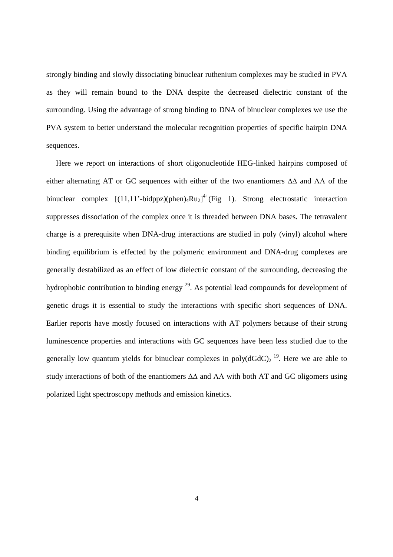strongly binding and slowly dissociating binuclear ruthenium complexes may be studied in PVA as they will remain bound to the DNA despite the decreased dielectric constant of the surrounding. Using the advantage of strong binding to DNA of binuclear complexes we use the PVA system to better understand the molecular recognition properties of specific hairpin DNA sequences.

 Here we report on interactions of short oligonucleotide HEG-linked hairpins composed of either alternating AT or GC sequences with either of the two enantiomers ∆∆ and ΛΛ of the binuclear complex  $[(11,11'-bidppz)(phen)<sub>4</sub>Ru<sub>2</sub>]<sup>4+</sup>(Fig 1). Strong electrostatic interaction$ suppresses dissociation of the complex once it is threaded between DNA bases. The tetravalent charge is a prerequisite when DNA-drug interactions are studied in poly (vinyl) alcohol where binding equilibrium is effected by the polymeric environment and DNA-drug complexes are generally destabilized as an effect of low dielectric constant of the surrounding, decreasing the hydrophobic contribution to binding energy  $^{29}$ . As potential lead compounds for development of genetic drugs it is essential to study the interactions with specific short sequences of DNA. Earlier reports have mostly focused on interactions with AT polymers because of their strong luminescence properties and interactions with GC sequences have been less studied due to the generally low quantum yields for binuclear complexes in poly $(dGdC)_2$ <sup>19</sup>. Here we are able to study interactions of both of the enantiomers ∆∆ and ΛΛ with both AT and GC oligomers using polarized light spectroscopy methods and emission kinetics.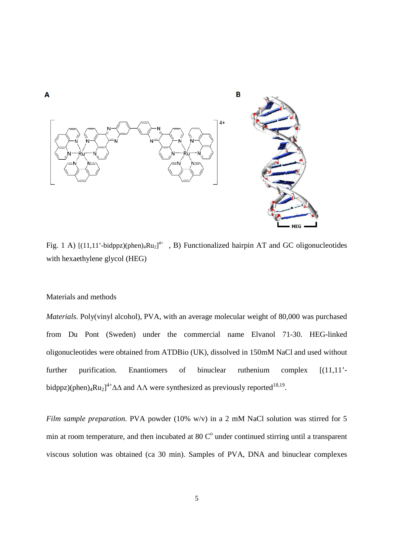

Fig. 1 A) [(11,11'-bidppz)(phen)<sub>4</sub>Ru<sub>2</sub>]<sup>4+</sup>, B) Functionalized hairpin AT and GC oligonucleotides with hexaethylene glycol (HEG)

#### Materials and methods

*Materials.* Poly(vinyl alcohol), PVA, with an average molecular weight of 80,000 was purchased from Du Pont (Sweden) under the commercial name Elvanol 71-30. HEG-linked oligonucleotides were obtained from ATDBio (UK), dissolved in 150mM NaCl and used without further purification. Enantiomers of binuclear ruthenium complex [(11,11' bidppz)(phen)<sub>4</sub>Ru<sub>2</sub>]<sup>4+</sup> $\Delta\Delta$  and  $\Lambda\Lambda$  were synthesized as previously reported<sup>18,19</sup>.

*Film sample preparation.* PVA powder (10% w/v) in a 2 mM NaCl solution was stirred for 5 min at room temperature, and then incubated at 80  $\mathbb{C}^{\circ}$  under continued stirring until a transparent viscous solution was obtained (ca 30 min). Samples of PVA, DNA and binuclear complexes

5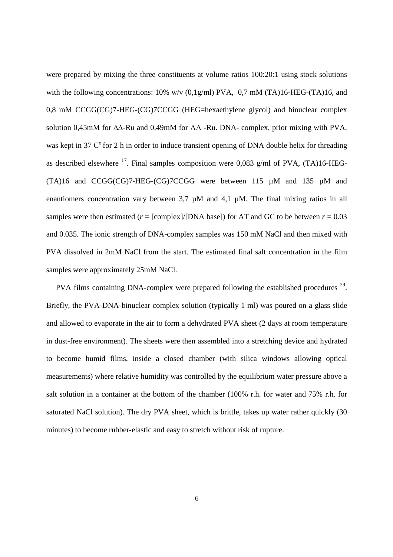were prepared by mixing the three constituents at volume ratios 100:20:1 using stock solutions with the following concentrations:  $10\%$  w/v  $(0.1g/ml)$  PVA,  $0.7$  mM  $(TA)16$ -HEG- $(TA)16$ , and 0,8 mM CCGG(CG)7-HEG-(CG)7CCGG (HEG=hexaethylene glycol) and binuclear complex solution 0,45mM for ∆∆-Ru and 0,49mM for ΛΛ -Ru. DNA- complex, prior mixing with PVA, was kept in 37  $\mathbb{C}^{\circ}$  for 2 h in order to induce transient opening of DNA double helix for threading as described elsewhere <sup>17</sup>. Final samples composition were 0,083 g/ml of PVA, (TA)16-HEG-(TA)16 and CCGG(CG)7-HEG-(CG)7CCGG were between 115 µM and 135 µM and enantiomers concentration vary between 3,7  $\mu$ M and 4,1  $\mu$ M. The final mixing ratios in all samples were then estimated ( $r =$  [complex]/[DNA base]) for AT and GC to be between  $r = 0.03$ and 0.035. The ionic strength of DNA-complex samples was 150 mM NaCl and then mixed with PVA dissolved in 2mM NaCl from the start. The estimated final salt concentration in the film samples were approximately 25mM NaCl.

PVA films containing DNA-complex were prepared following the established procedures <sup>29</sup>. Briefly, the PVA-DNA-binuclear complex solution (typically 1 ml) was poured on a glass slide and allowed to evaporate in the air to form a dehydrated PVA sheet (2 days at room temperature in dust-free environment). The sheets were then assembled into a stretching device and hydrated to become humid films, inside a closed chamber (with silica windows allowing optical measurements) where relative humidity was controlled by the equilibrium water pressure above a salt solution in a container at the bottom of the chamber (100% r.h. for water and 75% r.h. for saturated NaCl solution). The dry PVA sheet, which is brittle, takes up water rather quickly (30 minutes) to become rubber-elastic and easy to stretch without risk of rupture.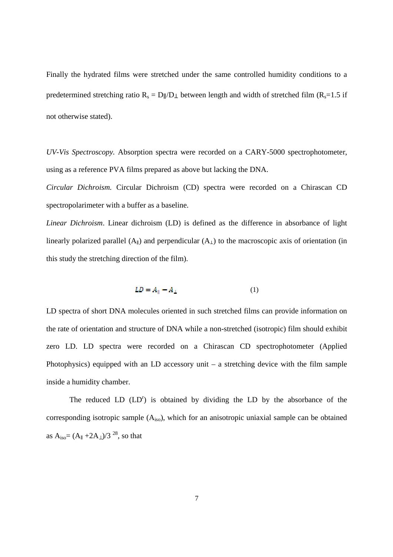Finally the hydrated films were stretched under the same controlled humidity conditions to a predetermined stretching ratio  $R_s = D \parallel/D \perp$  between length and width of stretched film ( $R_s = 1.5$  if not otherwise stated).

*UV-Vis Spectroscopy.* Absorption spectra were recorded on a CARY-5000 spectrophotometer, using as a reference PVA films prepared as above but lacking the DNA.

*Circular Dichroism.* Circular Dichroism (CD) spectra were recorded on a Chirascan CD spectropolarimeter with a buffer as a baseline.

*Linear Dichroism*. Linear dichroism (LD) is defined as the difference in absorbance of light linearly polarized parallel  $(A_{\parallel})$  and perpendicular  $(A_{\perp})$  to the macroscopic axis of orientation (in this study the stretching direction of the film).

$$
LD = A_{\parallel} - A_{\perp} \tag{1}
$$

LD spectra of short DNA molecules oriented in such stretched films can provide information on the rate of orientation and structure of DNA while a non-stretched (isotropic) film should exhibit zero LD. LD spectra were recorded on a Chirascan CD spectrophotometer (Applied Photophysics) equipped with an LD accessory unit – a stretching device with the film sample inside a humidity chamber.

The reduced  $LD (LD<sup>r</sup>)$  is obtained by dividing the LD by the absorbance of the corresponding isotropic sample  $(A_{iso})$ , which for an anisotropic uniaxial sample can be obtained as  $A_{iso} = (A_{\parallel} + 2A_{\perp})/3^{28}$ , so that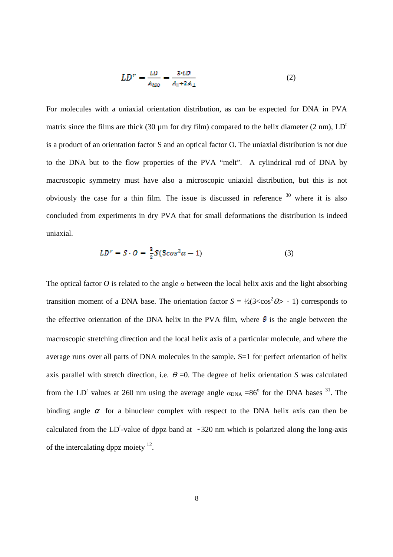$$
LD^{r} = \frac{LD}{A_{iso}} = \frac{3 \cdot LD}{A_{\parallel} + 2A_{\perp}}
$$
 (2)

For molecules with a uniaxial orientation distribution, as can be expected for DNA in PVA matrix since the films are thick (30  $\mu$ m for dry film) compared to the helix diameter (2 nm),  $LD<sup>r</sup>$ is a product of an orientation factor S and an optical factor O. The uniaxial distribution is not due to the DNA but to the flow properties of the PVA "melt". A cylindrical rod of DNA by macroscopic symmetry must have also a microscopic uniaxial distribution, but this is not obviously the case for a thin film. The issue is discussed in reference  $30$  where it is also concluded from experiments in dry PVA that for small deformations the distribution is indeed uniaxial.

$$
LD^r = S \cdot O = \frac{3}{2}S(3\cos^2\alpha - 1) \tag{3}
$$

The optical factor *O* is related to the angle *α* between the local helix axis and the light absorbing transition moment of a DNA base. The orientation factor  $S = \frac{1}{2}(3 \lt \cos^2 \theta) - 1$  corresponds to the effective orientation of the DNA helix in the PVA film, where  $\theta$  is the angle between the macroscopic stretching direction and the local helix axis of a particular molecule, and where the average runs over all parts of DNA molecules in the sample. S=1 for perfect orientation of helix axis parallel with stretch direction, i.e.  $\theta = 0$ . The degree of helix orientation *S* was calculated from the LD<sup>r</sup> values at 260 nm using the average angle  $\alpha_{DNA} = 86^{\circ}$  for the DNA bases <sup>31</sup>. The binding angle  $\alpha$  for a binuclear complex with respect to the DNA helix axis can then be calculated from the LD<sup>r</sup>-value of dppz band at  $\sim$  320 nm which is polarized along the long-axis of the intercalating dppz moiety  $12$ .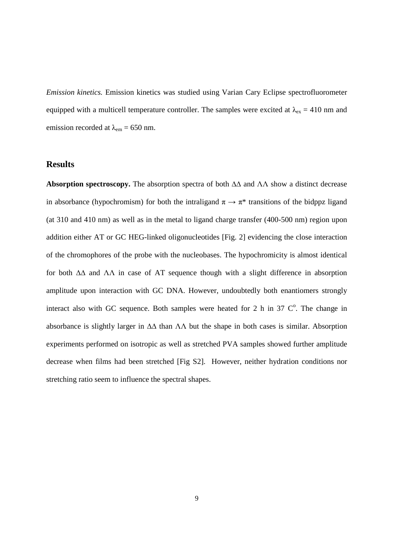*Emission kinetics.* Emission kinetics was studied using Varian Cary Eclipse spectrofluorometer equipped with a multicell temperature controller. The samples were excited at  $\lambda_{ex} = 410$  nm and emission recorded at  $\lambda_{em} = 650$  nm.

# **Results**

**Absorption spectroscopy.** The absorption spectra of both ∆∆ and ΛΛ show a distinct decrease in absorbance (hypochromism) for both the intraligand  $\pi \to \pi^*$  transitions of the bidppz ligand (at 310 and 410 nm) as well as in the metal to ligand charge transfer (400-500 nm) region upon addition either AT or GC HEG-linked oligonucleotides [Fig. 2] evidencing the close interaction of the chromophores of the probe with the nucleobases. The hypochromicity is almost identical for both ∆∆ and ΛΛ in case of AT sequence though with a slight difference in absorption amplitude upon interaction with GC DNA. However, undoubtedly both enantiomers strongly interact also with GC sequence. Both samples were heated for 2 h in 37  $\mathbb{C}^{\circ}$ . The change in absorbance is slightly larger in ∆∆ than ΛΛ but the shape in both cases is similar. Absorption experiments performed on isotropic as well as stretched PVA samples showed further amplitude decrease when films had been stretched [Fig S2]. However, neither hydration conditions nor stretching ratio seem to influence the spectral shapes.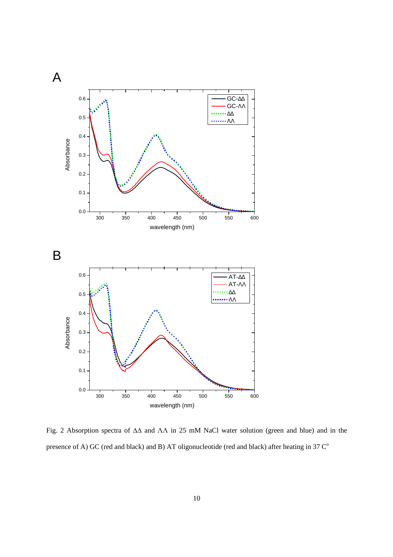

Fig. 2 Absorption spectra of ∆∆ and ΛΛ in 25 mM NaCl water solution (green and blue) and in the presence of A) GC (red and black) and B) AT oligonucleotide (red and black) after heating in  $37 \, \text{C}^\circ$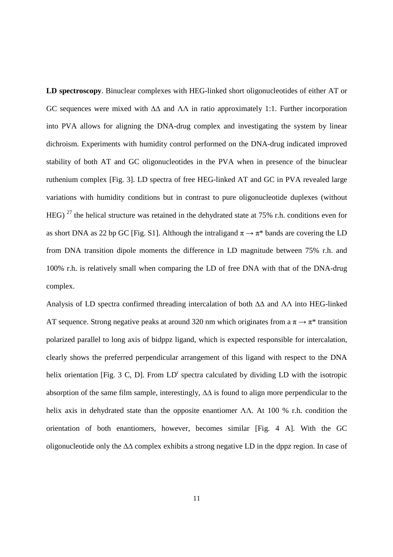**LD spectroscopy**. Binuclear complexes with HEG-linked short oligonucleotides of either AT or GC sequences were mixed with ∆∆ and ΛΛ in ratio approximately 1:1. Further incorporation into PVA allows for aligning the DNA-drug complex and investigating the system by linear dichroism. Experiments with humidity control performed on the DNA-drug indicated improved stability of both AT and GC oligonucleotides in the PVA when in presence of the binuclear ruthenium complex [Fig. 3]. LD spectra of free HEG-linked AT and GC in PVA revealed large variations with humidity conditions but in contrast to pure oligonucleotide duplexes (without HEG) <sup>27</sup> the helical structure was retained in the dehydrated state at 75% r.h. conditions even for as short DNA as 22 bp GC [Fig. S1]. Although the intraligand  $\pi \rightarrow \pi^*$  bands are covering the LD from DNA transition dipole moments the difference in LD magnitude between 75% r.h. and 100% r.h. is relatively small when comparing the LD of free DNA with that of the DNA-drug complex.

Analysis of LD spectra confirmed threading intercalation of both ∆∆ and ΛΛ into HEG-linked AT sequence. Strong negative peaks at around 320 nm which originates from a  $\pi \rightarrow \pi^*$  transition polarized parallel to long axis of bidppz ligand, which is expected responsible for intercalation, clearly shows the preferred perpendicular arrangement of this ligand with respect to the DNA helix orientation [Fig. 3 C, D]. From  $LD<sup>r</sup>$  spectra calculated by dividing LD with the isotropic absorption of the same film sample, interestingly, ∆∆ is found to align more perpendicular to the helix axis in dehydrated state than the opposite enantiomer ΛΛ. At 100 % r.h. condition the orientation of both enantiomers, however, becomes similar [Fig. 4 A]. With the GC oligonucleotide only the ∆∆ complex exhibits a strong negative LD in the dppz region. In case of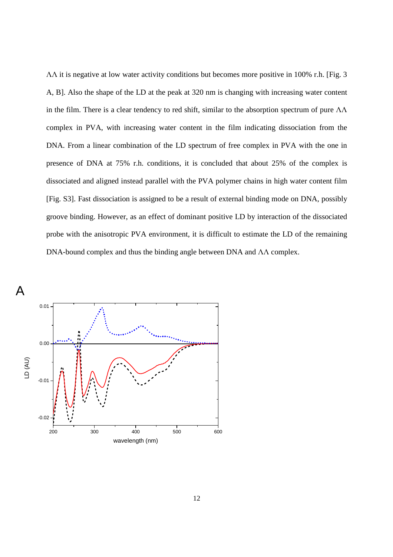ΛΛ it is negative at low water activity conditions but becomes more positive in 100% r.h. [Fig. 3 A, B]. Also the shape of the LD at the peak at 320 nm is changing with increasing water content in the film. There is a clear tendency to red shift, similar to the absorption spectrum of pure  $\Lambda\Lambda$ complex in PVA, with increasing water content in the film indicating dissociation from the DNA. From a linear combination of the LD spectrum of free complex in PVA with the one in presence of DNA at 75% r.h. conditions, it is concluded that about 25% of the complex is dissociated and aligned instead parallel with the PVA polymer chains in high water content film [Fig. S3]. Fast dissociation is assigned to be a result of external binding mode on DNA, possibly groove binding. However, as an effect of dominant positive LD by interaction of the dissociated probe with the anisotropic PVA environment, it is difficult to estimate the LD of the remaining DNA-bound complex and thus the binding angle between DNA and ΛΛ complex.

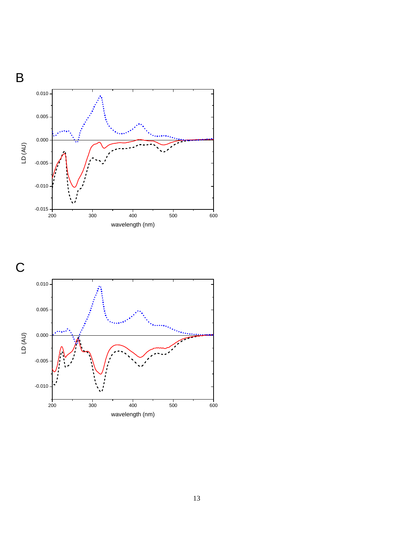

B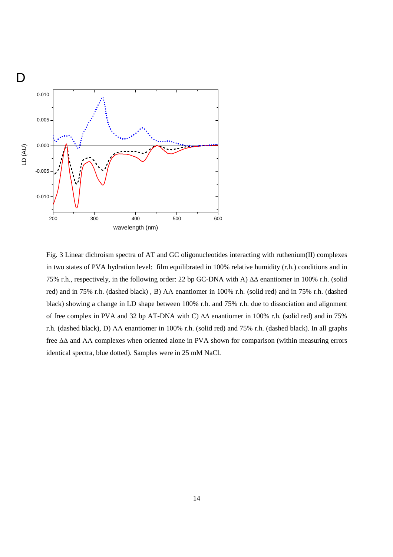

Fig. 3 Linear dichroism spectra of AT and GC oligonucleotides interacting with ruthenium(II) complexes in two states of PVA hydration level: film equilibrated in 100% relative humidity (r.h.) conditions and in 75% r.h., respectively, in the following order: 22 bp GC-DNA with A) ∆∆ enantiomer in 100% r.h. (solid red) and in 75% r.h. (dashed black) , B) ΛΛ enantiomer in 100% r.h. (solid red) and in 75% r.h. (dashed black) showing a change in LD shape between 100% r.h. and 75% r.h. due to dissociation and alignment of free complex in PVA and 32 bp AT-DNA with C) ∆∆ enantiomer in 100% r.h. (solid red) and in 75% r.h. (dashed black), D) ΛΛ enantiomer in 100% r.h. (solid red) and 75% r.h. (dashed black). In all graphs free ∆∆ and ΛΛ complexes when oriented alone in PVA shown for comparison (within measuring errors identical spectra, blue dotted). Samples were in 25 mM NaCl.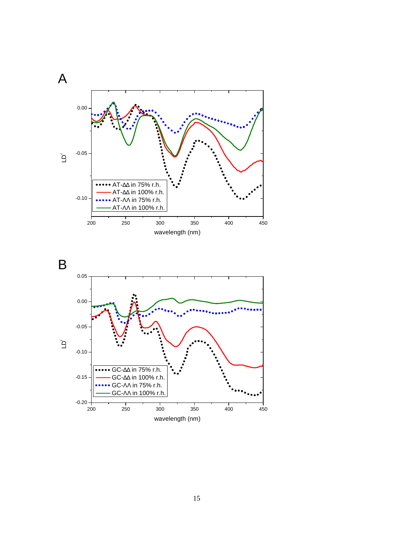



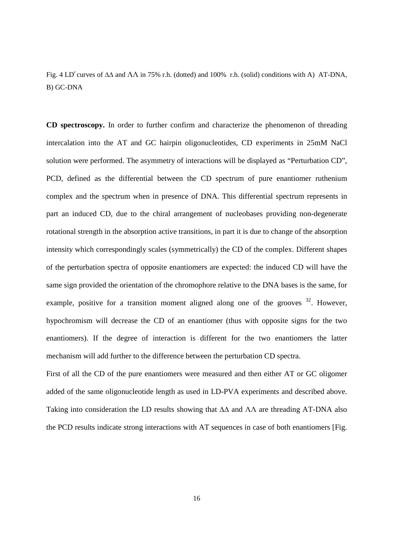Fig. 4 LD<sup>r</sup> curves of  $\Delta\Delta$  and  $\Delta\Lambda$  in 75% r.h. (dotted) and 100% r.h. (solid) conditions with A) AT-DNA, B) GC-DNA

**CD spectroscopy.** In order to further confirm and characterize the phenomenon of threading intercalation into the AT and GC hairpin oligonucleotides, CD experiments in 25mM NaCl solution were performed. The asymmetry of interactions will be displayed as "Perturbation CD", PCD, defined as the differential between the CD spectrum of pure enantiomer ruthenium complex and the spectrum when in presence of DNA. This differential spectrum represents in part an induced CD, due to the chiral arrangement of nucleobases providing non-degenerate rotational strength in the absorption active transitions, in part it is due to change of the absorption intensity which correspondingly scales (symmetrically) the CD of the complex. Different shapes of the perturbation spectra of opposite enantiomers are expected: the induced CD will have the same sign provided the orientation of the chromophore relative to the DNA bases is the same, for example, positive for a transition moment aligned along one of the grooves  $32$ . However, hypochromism will decrease the CD of an enantiomer (thus with opposite signs for the two enantiomers). If the degree of interaction is different for the two enantiomers the latter mechanism will add further to the difference between the perturbation CD spectra.

First of all the CD of the pure enantiomers were measured and then either AT or GC oligomer added of the same oligonucleotide length as used in LD-PVA experiments and described above. Taking into consideration the LD results showing that ∆∆ and ΛΛ are threading AT-DNA also the PCD results indicate strong interactions with AT sequences in case of both enantiomers [Fig.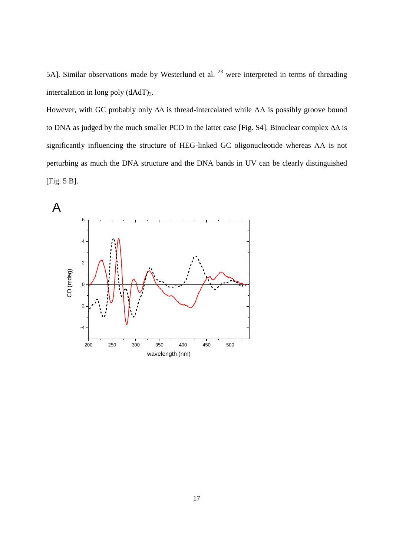5A]. Similar observations made by Westerlund et al.  $23$  were interpreted in terms of threading intercalation in long poly  $(dAdT)<sub>2</sub>$ .

However, with GC probably only ΔΔ is thread-intercalated while ΛΛ is possibly groove bound to DNA as judged by the much smaller PCD in the latter case [Fig. S4]. Binuclear complex ∆∆ is significantly influencing the structure of HEG-linked GC oligonucleotide whereas ΛΛ is not perturbing as much the DNA structure and the DNA bands in UV can be clearly distinguished [Fig. 5 B].

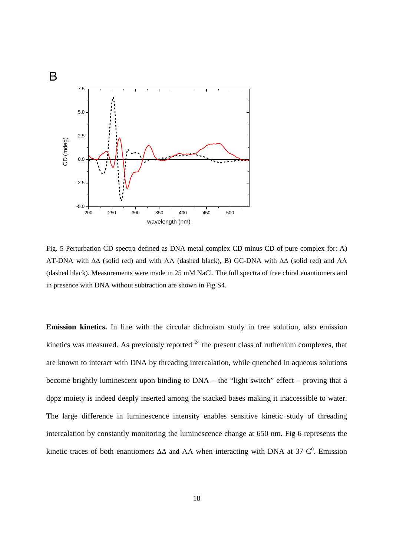

Fig. 5 Perturbation CD spectra defined as DNA-metal complex CD minus CD of pure complex for: A) AT-DNA with ∆∆ (solid red) and with ΛΛ (dashed black), B) GC-DNA with ∆∆ (solid red) and ΛΛ (dashed black). Measurements were made in 25 mM NaCl. The full spectra of free chiral enantiomers and in presence with DNA without subtraction are shown in Fig S4.

**Emission kinetics.** In line with the circular dichroism study in free solution, also emission kinetics was measured. As previously reported  $^{24}$  the present class of ruthenium complexes, that are known to interact with DNA by threading intercalation, while quenched in aqueous solutions become brightly luminescent upon binding to DNA – the "light switch" effect – proving that a dppz moiety is indeed deeply inserted among the stacked bases making it inaccessible to water. The large difference in luminescence intensity enables sensitive kinetic study of threading intercalation by constantly monitoring the luminescence change at 650 nm. Fig 6 represents the kinetic traces of both enantiomers  $\Delta\Delta$  and  $\Lambda\Lambda$  when interacting with DNA at 37 C<sup>o</sup>. Emission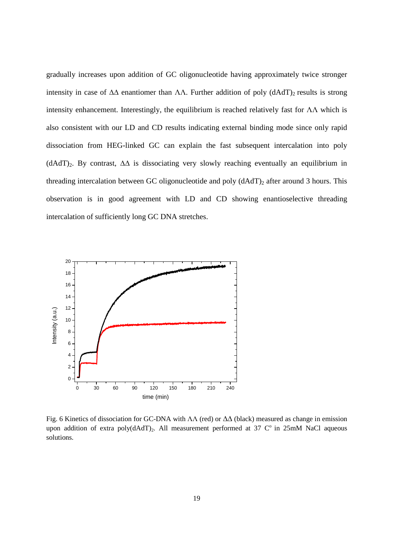gradually increases upon addition of GC oligonucleotide having approximately twice stronger intensity in case of  $\Delta\Delta$  enantiomer than  $\Lambda\Lambda$ . Further addition of poly (dAdT)<sub>2</sub> results is strong intensity enhancement. Interestingly, the equilibrium is reached relatively fast for  $\Lambda\Lambda$  which is also consistent with our LD and CD results indicating external binding mode since only rapid dissociation from HEG-linked GC can explain the fast subsequent intercalation into poly (dAdT)2. By contrast, ∆∆ is dissociating very slowly reaching eventually an equilibrium in threading intercalation between GC oligonucleotide and poly (dAdT)<sub>2</sub> after around 3 hours. This observation is in good agreement with LD and CD showing enantioselective threading intercalation of sufficiently long GC DNA stretches.



Fig. 6 Kinetics of dissociation for GC-DNA with ΛΛ (red) or ∆∆ (black) measured as change in emission upon addition of extra poly( $dAdT$ )<sub>2</sub>. All measurement performed at 37 C<sup>o</sup> in 25mM NaCl aqueous solutions.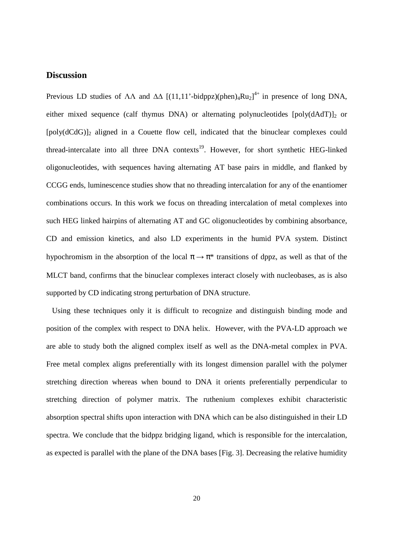### **Discussion**

Previous LD studies of  $\Lambda\Lambda$  and  $\Delta\Delta$  [(11,11'-bidppz)(phen)<sub>4</sub>Ru<sub>2</sub>]<sup>4+</sup> in presence of long DNA, either mixed sequence (calf thymus DNA) or alternating polynucleotides  $[poly(dAdT)]_2$  or [poly(dCdG)]2 aligned in a Couette flow cell, indicated that the binuclear complexes could thread-intercalate into all three DNA contexts<sup>19</sup>. However, for short synthetic HEG-linked oligonucleotides, with sequences having alternating AT base pairs in middle, and flanked by CCGG ends, luminescence studies show that no threading intercalation for any of the enantiomer combinations occurs. In this work we focus on threading intercalation of metal complexes into such HEG linked hairpins of alternating AT and GC oligonucleotides by combining absorbance, CD and emission kinetics, and also LD experiments in the humid PVA system. Distinct hypochromism in the absorption of the local  $\pi \to \pi^*$  transitions of dppz, as well as that of the MLCT band, confirms that the binuclear complexes interact closely with nucleobases, as is also supported by CD indicating strong perturbation of DNA structure.

 Using these techniques only it is difficult to recognize and distinguish binding mode and position of the complex with respect to DNA helix. However, with the PVA-LD approach we are able to study both the aligned complex itself as well as the DNA-metal complex in PVA. Free metal complex aligns preferentially with its longest dimension parallel with the polymer stretching direction whereas when bound to DNA it orients preferentially perpendicular to stretching direction of polymer matrix. The ruthenium complexes exhibit characteristic absorption spectral shifts upon interaction with DNA which can be also distinguished in their LD spectra. We conclude that the bidppz bridging ligand, which is responsible for the intercalation, as expected is parallel with the plane of the DNA bases [Fig. 3]. Decreasing the relative humidity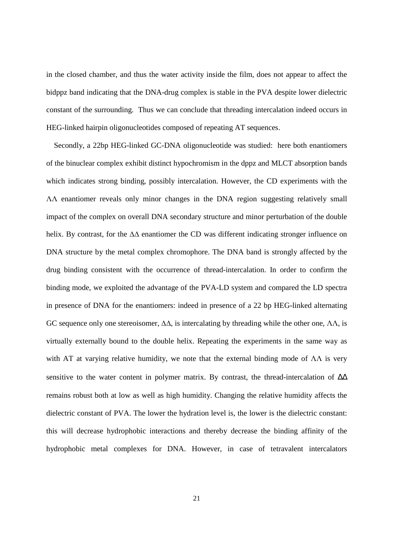in the closed chamber, and thus the water activity inside the film, does not appear to affect the bidppz band indicating that the DNA-drug complex is stable in the PVA despite lower dielectric constant of the surrounding. Thus we can conclude that threading intercalation indeed occurs in HEG-linked hairpin oligonucleotides composed of repeating AT sequences.

 Secondly, a 22bp HEG-linked GC-DNA oligonucleotide was studied: here both enantiomers of the binuclear complex exhibit distinct hypochromism in the dppz and MLCT absorption bands which indicates strong binding, possibly intercalation. However, the CD experiments with the ΛΛ enantiomer reveals only minor changes in the DNA region suggesting relatively small impact of the complex on overall DNA secondary structure and minor perturbation of the double helix. By contrast, for the ∆∆ enantiomer the CD was different indicating stronger influence on DNA structure by the metal complex chromophore. The DNA band is strongly affected by the drug binding consistent with the occurrence of thread-intercalation. In order to confirm the binding mode, we exploited the advantage of the PVA-LD system and compared the LD spectra in presence of DNA for the enantiomers: indeed in presence of a 22 bp HEG-linked alternating GC sequence only one stereoisomer,  $\Delta\Delta$ , is intercalating by threading while the other one,  $\Delta\Lambda$ , is virtually externally bound to the double helix. Repeating the experiments in the same way as with AT at varying relative humidity, we note that the external binding mode of  $\Lambda\Lambda$  is very sensitive to the water content in polymer matrix. By contrast, the thread-intercalation of Δ∆ remains robust both at low as well as high humidity. Changing the relative humidity affects the dielectric constant of PVA. The lower the hydration level is, the lower is the dielectric constant: this will decrease hydrophobic interactions and thereby decrease the binding affinity of the hydrophobic metal complexes for DNA. However, in case of tetravalent intercalators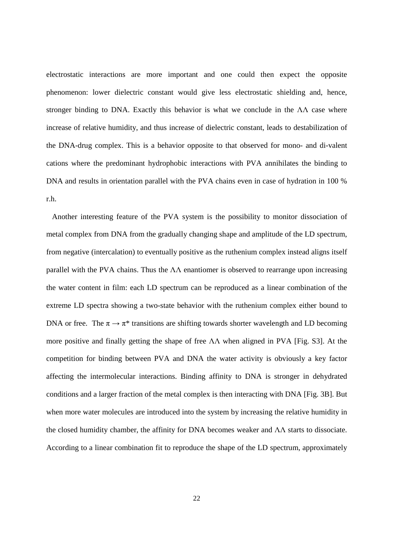electrostatic interactions are more important and one could then expect the opposite phenomenon: lower dielectric constant would give less electrostatic shielding and, hence, stronger binding to DNA. Exactly this behavior is what we conclude in the  $\Lambda\Lambda$  case where increase of relative humidity, and thus increase of dielectric constant, leads to destabilization of the DNA-drug complex. This is a behavior opposite to that observed for mono- and di-valent cations where the predominant hydrophobic interactions with PVA annihilates the binding to DNA and results in orientation parallel with the PVA chains even in case of hydration in 100 % r.h.

 Another interesting feature of the PVA system is the possibility to monitor dissociation of metal complex from DNA from the gradually changing shape and amplitude of the LD spectrum, from negative (intercalation) to eventually positive as the ruthenium complex instead aligns itself parallel with the PVA chains. Thus the  $\Lambda\Lambda$  enantiomer is observed to rearrange upon increasing the water content in film: each LD spectrum can be reproduced as a linear combination of the extreme LD spectra showing a two-state behavior with the ruthenium complex either bound to DNA or free. The  $\pi \to \pi^*$  transitions are shifting towards shorter wavelength and LD becoming more positive and finally getting the shape of free  $\Lambda\Lambda$  when aligned in PVA [Fig. S3]. At the competition for binding between PVA and DNA the water activity is obviously a key factor affecting the intermolecular interactions. Binding affinity to DNA is stronger in dehydrated conditions and a larger fraction of the metal complex is then interacting with DNA [Fig. 3B]. But when more water molecules are introduced into the system by increasing the relative humidity in the closed humidity chamber, the affinity for DNA becomes weaker and ΛΛ starts to dissociate. According to a linear combination fit to reproduce the shape of the LD spectrum, approximately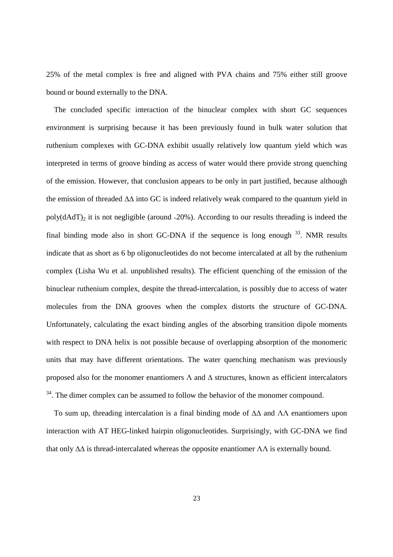25% of the metal complex is free and aligned with PVA chains and 75% either still groove bound or bound externally to the DNA.

 The concluded specific interaction of the binuclear complex with short GC sequences environment is surprising because it has been previously found in bulk water solution that ruthenium complexes with GC-DNA exhibit usually relatively low quantum yield which was interpreted in terms of groove binding as access of water would there provide strong quenching of the emission. However, that conclusion appears to be only in part justified, because although the emission of threaded ∆∆ into GC is indeed relatively weak compared to the quantum yield in poly( $dAdT$ )<sub>2</sub> it is not negligible (around ~20%). According to our results threading is indeed the final binding mode also in short GC-DNA if the sequence is long enough  $33$ . NMR results indicate that as short as 6 bp oligonucleotides do not become intercalated at all by the ruthenium complex (Lisha Wu et al. unpublished results). The efficient quenching of the emission of the binuclear ruthenium complex, despite the thread-intercalation, is possibly due to access of water molecules from the DNA grooves when the complex distorts the structure of GC-DNA. Unfortunately, calculating the exact binding angles of the absorbing transition dipole moments with respect to DNA helix is not possible because of overlapping absorption of the monomeric units that may have different orientations. The water quenching mechanism was previously proposed also for the monomer enantiomers  $\Lambda$  and  $\Delta$  structures, known as efficient intercalators <sup>34</sup>. The dimer complex can be assumed to follow the behavior of the monomer compound.

 To sum up, threading intercalation is a final binding mode of ∆∆ and ΛΛ enantiomers upon interaction with AT HEG-linked hairpin oligonucleotides. Surprisingly, with GC-DNA we find that only  $\Delta\Delta$  is thread-intercalated whereas the opposite enantiomer  $\Lambda\Lambda$  is externally bound.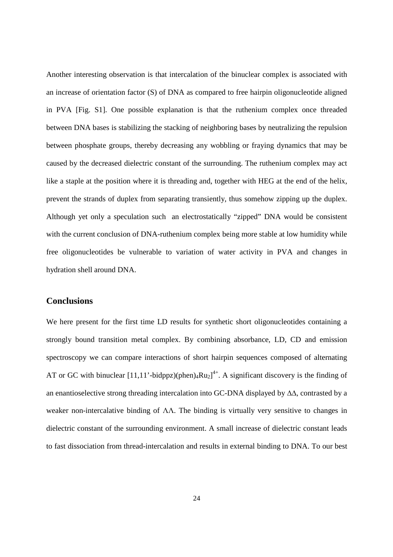Another interesting observation is that intercalation of the binuclear complex is associated with an increase of orientation factor (S) of DNA as compared to free hairpin oligonucleotide aligned in PVA [Fig. S1]. One possible explanation is that the ruthenium complex once threaded between DNA bases is stabilizing the stacking of neighboring bases by neutralizing the repulsion between phosphate groups, thereby decreasing any wobbling or fraying dynamics that may be caused by the decreased dielectric constant of the surrounding. The ruthenium complex may act like a staple at the position where it is threading and, together with HEG at the end of the helix, prevent the strands of duplex from separating transiently, thus somehow zipping up the duplex. Although yet only a speculation such an electrostatically "zipped" DNA would be consistent with the current conclusion of DNA-ruthenium complex being more stable at low humidity while free oligonucleotides be vulnerable to variation of water activity in PVA and changes in hydration shell around DNA.

# **Conclusions**

We here present for the first time LD results for synthetic short oligonucleotides containing a strongly bound transition metal complex. By combining absorbance, LD, CD and emission spectroscopy we can compare interactions of short hairpin sequences composed of alternating AT or GC with binuclear  $[11,11'$ -bidppz)(phen)<sub>4</sub>Ru<sub>2</sub><sup>1+</sup>. A significant discovery is the finding of an enantioselective strong threading intercalation into GC-DNA displayed by ∆∆, contrasted by a weaker non-intercalative binding of ΛΛ. The binding is virtually very sensitive to changes in dielectric constant of the surrounding environment. A small increase of dielectric constant leads to fast dissociation from thread-intercalation and results in external binding to DNA. To our best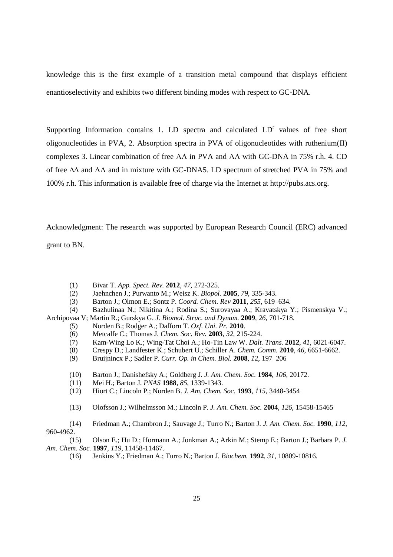knowledge this is the first example of a transition metal compound that displays efficient enantioselectivity and exhibits two different binding modes with respect to GC-DNA.

Supporting Information contains 1. LD spectra and calculated  $LD<sup>r</sup>$  values of free short oligonucleotides in PVA, 2. Absorption spectra in PVA of oligonucleotides with ruthenium(II) complexes 3. Linear combination of free  $\Lambda\Lambda$  in PVA and  $\Lambda\Lambda$  with GC-DNA in 75% r.h. 4. CD of free ∆∆ and ΛΛ and in mixture with GC-DNA5. LD spectrum of stretched PVA in 75% and 100% r.h. This information is available free of charge via the Internet at http://pubs.acs.org.

Acknowledgment: The research was supported by European Research Council (ERC) advanced grant to BN.

(1) Bivar T. *App. Spect. Rev.* **2012**, *47*, 272-325.

- (2) Jaehnchen J.; Purwanto M.; Weisz K. *Biopol.* **2005**, *79*, 335-343.
- (3) Barton J.; Olmon E.; Sontz P. *Coord. Chem. Rev* **2011**, *255*, 619–634.
- (4) Bazhulinaa N.; Nikitina A.; Rodina S.; Surovayaa A.; Kravatskya Y.; Pismenskya V.;

Archipovaa V; Martin R.; Gurskya G. *J. Biomol. Struc. and Dynam.* **2009**, *26*, 701-718.

- (5) Norden B.; Rodger A.; Dafforn T. *Oxf. Uni. Pr.* **2010**.
- (6) Metcalfe C.; Thomas J. *Chem. Soc. Rev.* **2003**, *32*, 215-224.
- (7) Kam-Wing Lo K.; Wing-Tat Choi A.; Ho-Tin Law W. *Dalt. Trans.* **2012**, *41*, 6021-6047.
- (8) Crespy D.; Landfester K.; Schubert U.; Schiller A. *Chem. Comm.* **2010**, *46*, 6651-6662.
- (9) Bruijnincx P.; Sadler P. *Curr. Op. in Chem. Biol.* **2008**, *12*, 197–206
- (10) Barton J.; Danishefsky A.; Goldberg J. *J. Am. Chem. Soc.* **1984**, *106*, 20172.
- (11) Mei H.; Barton J. *PNAS* **1988**, *85*, 1339-1343.
- (12) Hiort C.; Lincoln P.; Norden B. *J. Am. Chem. Soc.* **1993**, *115*, 3448-3454
- (13) Olofsson J.; Wilhelmsson M.; Lincoln P. *J. Am. Chem. Soc.* **2004**, *126*, 15458-15465

 (14) Friedman A.; Chambron J.; Sauvage J.; Turro N.; Barton J. *J. Am. Chem. Soc.* **1990**, *112*, 960-4962.

 (15) Olson E.; Hu D.; Hormann A.; Jonkman A.; Arkin M.; Stemp E.; Barton J.; Barbara P. *J. Am. Chem. Soc.* **1997**, *119*, 11458-11467.

(16) Jenkins Y.; Friedman A.; Turro N.; Barton J. *Biochem.* **1992**, *31*, 10809-10816.